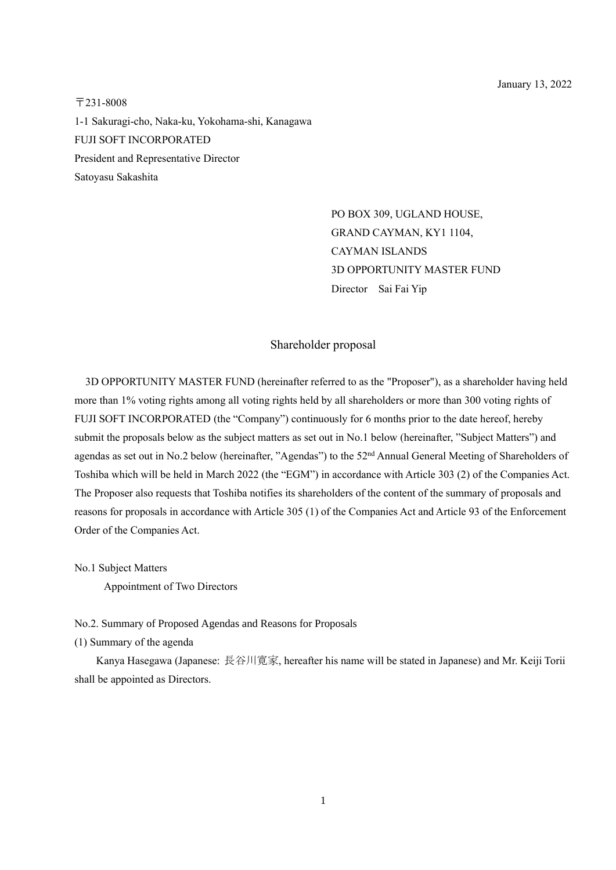〒231-8008 1-1 Sakuragi-cho, Naka-ku, Yokohama-shi, Kanagawa FUJI SOFT INCORPORATED President and Representative Director Satoyasu Sakashita

> PO BOX 309, UGLAND HOUSE, GRAND CAYMAN, KY1 1104, CAYMAN ISLANDS 3D OPPORTUNITY MASTER FUND Director Sai Fai Yip

## Shareholder proposal

3D OPPORTUNITY MASTER FUND (hereinafter referred to as the "Proposer"), as a shareholder having held more than 1% voting rights among all voting rights held by all shareholders or more than 300 voting rights of FUJI SOFT INCORPORATED (the "Company") continuously for 6 months prior to the date hereof, hereby submit the proposals below as the subject matters as set out in No.1 below (hereinafter, "Subject Matters") and agendas as set out in No.2 below (hereinafter, "Agendas") to the 52<sup>nd</sup> Annual General Meeting of Shareholders of Toshiba which will be held in March 2022 (the "EGM") in accordance with Article 303 (2) of the Companies Act. The Proposer also requests that Toshiba notifies its shareholders of the content of the summary of proposals and reasons for proposals in accordance with Article 305 (1) of the Companies Act and Article 93 of the Enforcement Order of the Companies Act.

No.1 Subject Matters

Appointment of Two Directors

No.2. Summary of Proposed Agendas and Reasons for Proposals

(1) Summary of the agenda

Kanya Hasegawa (Japanese: 長谷川寛家, hereafter his name will be stated in Japanese) and Mr. Keiji Torii shall be appointed as Directors.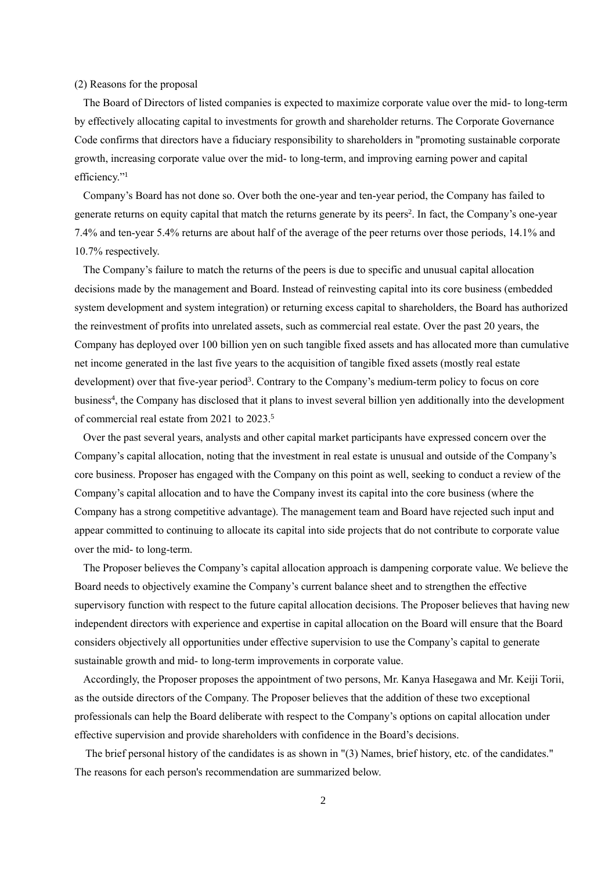## (2) Reasons for the proposal

 The Board of Directors of listed companies is expected to maximize corporate value over the mid- to long-term by effectively allocating capital to investments for growth and shareholder returns. The Corporate Governance Code confirms that directors have a fiduciary responsibility to shareholders in "promoting sustainable corporate growth, increasing corporate value over the mid- to long-term, and improving earning power and capital efficiency."<sup>1</sup>

 Company's Board has not done so. Over both the one-year and ten-year period, the Company has failed to generate returns on equity capital that match the returns generate by its peers<sup>2</sup>. In fact, the Company's one-year 7.4% and ten-year 5.4% returns are about half of the average of the peer returns over those periods, 14.1% and 10.7% respectively.

 The Company's failure to match the returns of the peers is due to specific and unusual capital allocation decisions made by the management and Board. Instead of reinvesting capital into its core business (embedded system development and system integration) or returning excess capital to shareholders, the Board has authorized the reinvestment of profits into unrelated assets, such as commercial real estate. Over the past 20 years, the Company has deployed over 100 billion yen on such tangible fixed assets and has allocated more than cumulative net income generated in the last five years to the acquisition of tangible fixed assets (mostly real estate development) over that five-year period<sup>3</sup>. Contrary to the Company's medium-term policy to focus on core business<sup>4</sup>, the Company has disclosed that it plans to invest several billion yen additionally into the development of commercial real estate from 2021 to 2023.<sup>5</sup>

 Over the past several years, analysts and other capital market participants have expressed concern over the Company's capital allocation, noting that the investment in real estate is unusual and outside of the Company's core business. Proposer has engaged with the Company on this point as well, seeking to conduct a review of the Company's capital allocation and to have the Company invest its capital into the core business (where the Company has a strong competitive advantage). The management team and Board have rejected such input and appear committed to continuing to allocate its capital into side projects that do not contribute to corporate value over the mid- to long-term.

 The Proposer believes the Company's capital allocation approach is dampening corporate value. We believe the Board needs to objectively examine the Company's current balance sheet and to strengthen the effective supervisory function with respect to the future capital allocation decisions. The Proposer believes that having new independent directors with experience and expertise in capital allocation on the Board will ensure that the Board considers objectively all opportunities under effective supervision to use the Company's capital to generate sustainable growth and mid- to long-term improvements in corporate value.

 Accordingly, the Proposer proposes the appointment of two persons, Mr. Kanya Hasegawa and Mr. Keiji Torii, as the outside directors of the Company. The Proposer believes that the addition of these two exceptional professionals can help the Board deliberate with respect to the Company's options on capital allocation under effective supervision and provide shareholders with confidence in the Board's decisions.

The brief personal history of the candidates is as shown in "(3) Names, brief history, etc. of the candidates." The reasons for each person's recommendation are summarized below.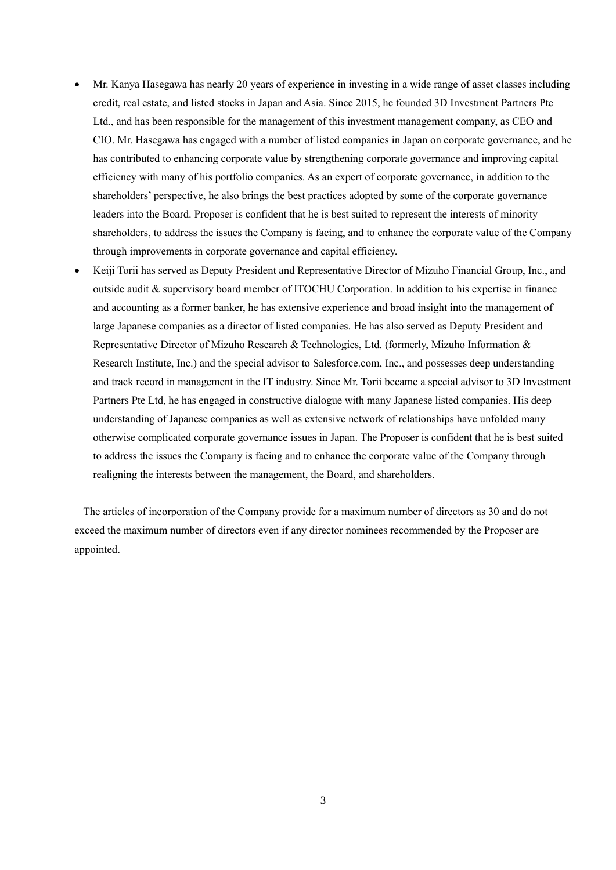- Mr. Kanya Hasegawa has nearly 20 years of experience in investing in a wide range of asset classes including credit, real estate, and listed stocks in Japan and Asia. Since 2015, he founded 3D Investment Partners Pte Ltd., and has been responsible for the management of this investment management company, as CEO and CIO. Mr. Hasegawa has engaged with a number of listed companies in Japan on corporate governance, and he has contributed to enhancing corporate value by strengthening corporate governance and improving capital efficiency with many of his portfolio companies. As an expert of corporate governance, in addition to the shareholders' perspective, he also brings the best practices adopted by some of the corporate governance leaders into the Board. Proposer is confident that he is best suited to represent the interests of minority shareholders, to address the issues the Company is facing, and to enhance the corporate value of the Company through improvements in corporate governance and capital efficiency.
- Keiji Torii has served as Deputy President and Representative Director of Mizuho Financial Group, Inc., and outside audit & supervisory board member of ITOCHU Corporation. In addition to his expertise in finance and accounting as a former banker, he has extensive experience and broad insight into the management of large Japanese companies as a director of listed companies. He has also served as Deputy President and Representative Director of Mizuho Research & Technologies, Ltd. (formerly, Mizuho Information & Research Institute, Inc.) and the special advisor to Salesforce.com, Inc., and possesses deep understanding and track record in management in the IT industry. Since Mr. Torii became a special advisor to 3D Investment Partners Pte Ltd, he has engaged in constructive dialogue with many Japanese listed companies. His deep understanding of Japanese companies as well as extensive network of relationships have unfolded many otherwise complicated corporate governance issues in Japan. The Proposer is confident that he is best suited to address the issues the Company is facing and to enhance the corporate value of the Company through realigning the interests between the management, the Board, and shareholders.

 The articles of incorporation of the Company provide for a maximum number of directors as 30 and do not exceed the maximum number of directors even if any director nominees recommended by the Proposer are appointed.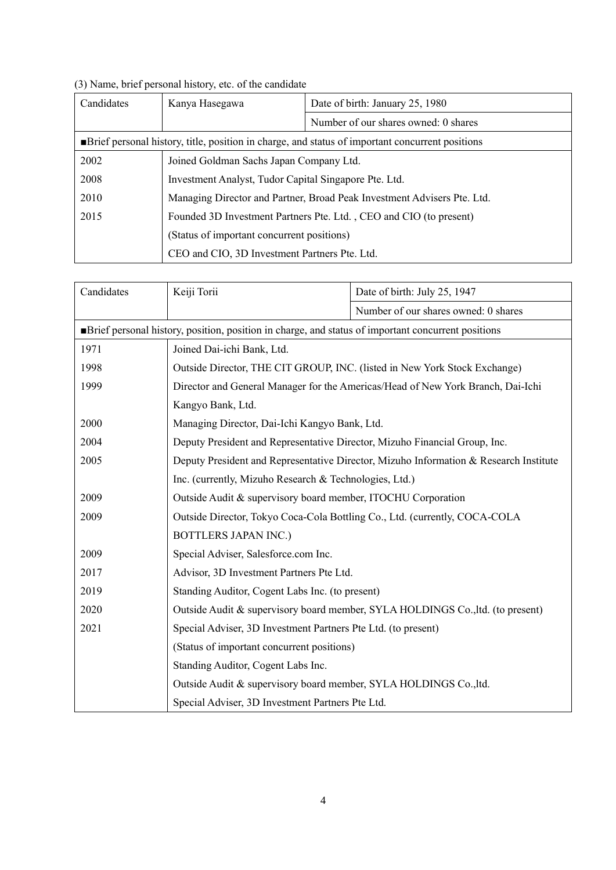|  |  |  |  | (3) Name, brief personal history, etc. of the candidate |
|--|--|--|--|---------------------------------------------------------|
|  |  |  |  |                                                         |

| Candidates                                                                                        | Kanya Hasegawa                                                          | Date of birth: January 25, 1980      |  |  |  |  |
|---------------------------------------------------------------------------------------------------|-------------------------------------------------------------------------|--------------------------------------|--|--|--|--|
|                                                                                                   |                                                                         | Number of our shares owned: 0 shares |  |  |  |  |
| • Brief personal history, title, position in charge, and status of important concurrent positions |                                                                         |                                      |  |  |  |  |
| 2002                                                                                              | Joined Goldman Sachs Japan Company Ltd.                                 |                                      |  |  |  |  |
| 2008                                                                                              | Investment Analyst, Tudor Capital Singapore Pte. Ltd.                   |                                      |  |  |  |  |
| 2010                                                                                              | Managing Director and Partner, Broad Peak Investment Advisers Pte. Ltd. |                                      |  |  |  |  |
| 2015                                                                                              | Founded 3D Investment Partners Pte. Ltd., CEO and CIO (to present)      |                                      |  |  |  |  |
|                                                                                                   | (Status of important concurrent positions)                              |                                      |  |  |  |  |
|                                                                                                   | CEO and CIO, 3D Investment Partners Pte. Ltd.                           |                                      |  |  |  |  |

| Candidates                                                                                           | Keiji Torii                                                                           | Date of birth: July 25, 1947         |  |  |  |  |  |  |
|------------------------------------------------------------------------------------------------------|---------------------------------------------------------------------------------------|--------------------------------------|--|--|--|--|--|--|
|                                                                                                      |                                                                                       | Number of our shares owned: 0 shares |  |  |  |  |  |  |
| • Brief personal history, position, position in charge, and status of important concurrent positions |                                                                                       |                                      |  |  |  |  |  |  |
| 1971                                                                                                 | Joined Dai-ichi Bank, Ltd.                                                            |                                      |  |  |  |  |  |  |
| 1998                                                                                                 | Outside Director, THE CIT GROUP, INC. (listed in New York Stock Exchange)             |                                      |  |  |  |  |  |  |
| 1999                                                                                                 | Director and General Manager for the Americas/Head of New York Branch, Dai-Ichi       |                                      |  |  |  |  |  |  |
|                                                                                                      | Kangyo Bank, Ltd.                                                                     |                                      |  |  |  |  |  |  |
| 2000                                                                                                 | Managing Director, Dai-Ichi Kangyo Bank, Ltd.                                         |                                      |  |  |  |  |  |  |
| 2004                                                                                                 | Deputy President and Representative Director, Mizuho Financial Group, Inc.            |                                      |  |  |  |  |  |  |
| 2005                                                                                                 | Deputy President and Representative Director, Mizuho Information & Research Institute |                                      |  |  |  |  |  |  |
|                                                                                                      | Inc. (currently, Mizuho Research & Technologies, Ltd.)                                |                                      |  |  |  |  |  |  |
| 2009                                                                                                 | Outside Audit & supervisory board member, ITOCHU Corporation                          |                                      |  |  |  |  |  |  |
| 2009                                                                                                 | Outside Director, Tokyo Coca-Cola Bottling Co., Ltd. (currently, COCA-COLA            |                                      |  |  |  |  |  |  |
|                                                                                                      | <b>BOTTLERS JAPAN INC.)</b>                                                           |                                      |  |  |  |  |  |  |
| 2009                                                                                                 | Special Adviser, Salesforce.com Inc.                                                  |                                      |  |  |  |  |  |  |
| 2017                                                                                                 | Advisor, 3D Investment Partners Pte Ltd.                                              |                                      |  |  |  |  |  |  |
| 2019                                                                                                 | Standing Auditor, Cogent Labs Inc. (to present)                                       |                                      |  |  |  |  |  |  |
| 2020                                                                                                 | Outside Audit & supervisory board member, SYLA HOLDINGS Co., ltd. (to present)        |                                      |  |  |  |  |  |  |
| 2021                                                                                                 | Special Adviser, 3D Investment Partners Pte Ltd. (to present)                         |                                      |  |  |  |  |  |  |
|                                                                                                      | (Status of important concurrent positions)                                            |                                      |  |  |  |  |  |  |
|                                                                                                      | Standing Auditor, Cogent Labs Inc.                                                    |                                      |  |  |  |  |  |  |
|                                                                                                      | Outside Audit & supervisory board member, SYLA HOLDINGS Co., ltd.                     |                                      |  |  |  |  |  |  |
|                                                                                                      | Special Adviser, 3D Investment Partners Pte Ltd.                                      |                                      |  |  |  |  |  |  |